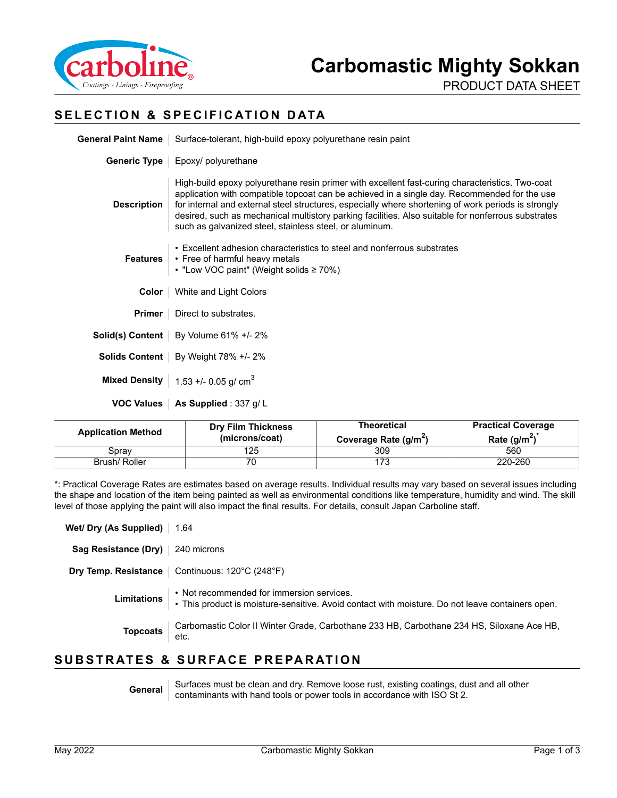

PRODUCT DATA SHEET

## **SELECTION & SPECIFICATION DATA**

|                    | General Paint Name   Surface-tolerant, high-build epoxy polyurethane resin paint                                                                                                                                                                                                                                                                                                                                                                                        |  |  |
|--------------------|-------------------------------------------------------------------------------------------------------------------------------------------------------------------------------------------------------------------------------------------------------------------------------------------------------------------------------------------------------------------------------------------------------------------------------------------------------------------------|--|--|
|                    | Generic Type   Epoxy/ polyurethane                                                                                                                                                                                                                                                                                                                                                                                                                                      |  |  |
| <b>Description</b> | High-build epoxy polyurethane resin primer with excellent fast-curing characteristics. Two-coat<br>application with compatible topcoat can be achieved in a single day. Recommended for the use<br>for internal and external steel structures, especially where shortening of work periods is strongly<br>desired, such as mechanical multistory parking facilities. Also suitable for nonferrous substrates<br>such as galvanized steel, stainless steel, or aluminum. |  |  |
| <b>Features</b>    | • Excellent adhesion characteristics to steel and nonferrous substrates<br>• Free of harmful heavy metals<br>• "Low VOC paint" (Weight solids ≥ 70%)                                                                                                                                                                                                                                                                                                                    |  |  |
| Color              | White and Light Colors                                                                                                                                                                                                                                                                                                                                                                                                                                                  |  |  |
| Primer             | Direct to substrates.                                                                                                                                                                                                                                                                                                                                                                                                                                                   |  |  |
|                    | <b>Solid(s) Content</b>   By Volume $61\% +12\%$                                                                                                                                                                                                                                                                                                                                                                                                                        |  |  |
|                    | Solids Content   By Weight 78% +/- 2%                                                                                                                                                                                                                                                                                                                                                                                                                                   |  |  |
|                    | Mixed Density   $1.53 + 0.05$ g/ cm <sup>3</sup>                                                                                                                                                                                                                                                                                                                                                                                                                        |  |  |
|                    | VOC Values   As Supplied : 337 g/L                                                                                                                                                                                                                                                                                                                                                                                                                                      |  |  |

| <b>Application Method</b> | <b>Dry Film Thickness</b><br>(microns/coat) | <b>Theoretical</b><br>Coverage Rate (g/m <sup>2</sup> ) | <b>Practical Coverage</b><br>Rate $(g/m^2)$ |
|---------------------------|---------------------------------------------|---------------------------------------------------------|---------------------------------------------|
| Sprav                     | 125                                         | 309                                                     | 560                                         |
| Brush/Roller              | 70                                          | מד ו                                                    | 220-260                                     |

\*: Practical Coverage Rates are estimates based on average results. Individual results may vary based on several issues including the shape and location of the item being painted as well as environmental conditions like temperature, humidity and wind. The skill level of those applying the paint will also impact the final results. For details, consult Japan Carboline staff.

| Wet/ Dry (As Supplied)   1.64      |                                                                                                                                                           |
|------------------------------------|-----------------------------------------------------------------------------------------------------------------------------------------------------------|
| Sag Resistance (Dry)   240 microns |                                                                                                                                                           |
|                                    | <b>Dry Temp. Resistance</b>   Continuous: 120°C (248°F)                                                                                                   |
|                                    | Limitations : Not recommended for immersion services.<br>• This product is moisture-sensitive. Avoid contact with moisture. Do not leave containers open. |
|                                    | Topcoats   Carbomastic Color II Winter Grade, Carbothane 233 HB, Carbothane 234 HS, Siloxane Ace HB,<br>etc.                                              |
|                                    | IID CTD ATEC & CIIDEA CE DDEDA DATIONI                                                                                                                    |

#### **SUBSTRATES & SURFACE PREPARATION**

General Surfaces must be clean and dry. Remove loose rust, existing coatings, dust and all other<br>contaminants with hand tools or power tools in accordance with ISO St 2.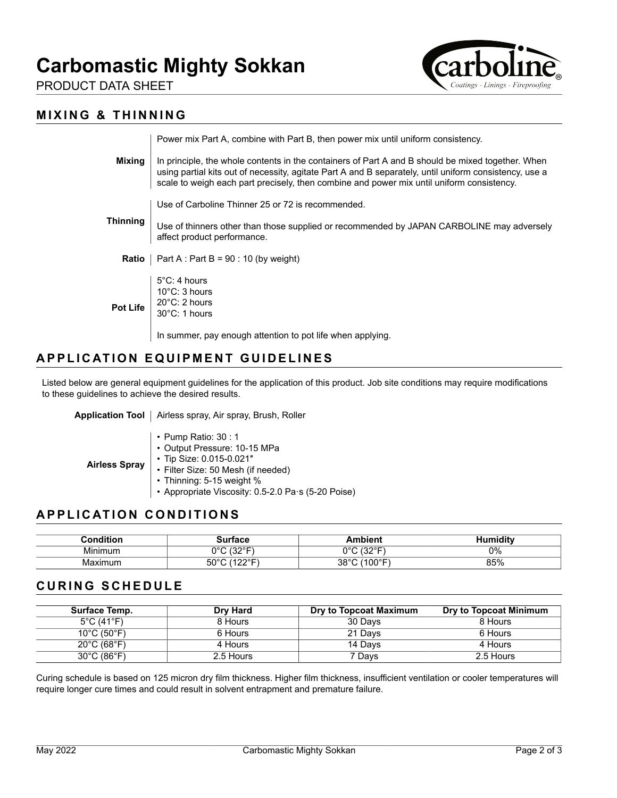

PRODUCT DATA SHEET

## **MIXING & THINNING**

|                 | Power mix Part A, combine with Part B, then power mix until uniform consistency.                                                                                                                                                                                                                         |
|-----------------|----------------------------------------------------------------------------------------------------------------------------------------------------------------------------------------------------------------------------------------------------------------------------------------------------------|
| Mixing          | In principle, the whole contents in the containers of Part A and B should be mixed together. When<br>using partial kits out of necessity, agitate Part A and B separately, until uniform consistency, use a<br>scale to weigh each part precisely, then combine and power mix until uniform consistency. |
|                 | Use of Carboline Thinner 25 or 72 is recommended.                                                                                                                                                                                                                                                        |
| Thinning        | Use of thinners other than those supplied or recommended by JAPAN CARBOLINE may adversely<br>affect product performance.                                                                                                                                                                                 |
| Ratio           | $\vert$ Part A : Part B = 90 : 10 (by weight)                                                                                                                                                                                                                                                            |
| <b>Pot Life</b> | $5^{\circ}$ C: 4 hours<br>$10^{\circ}$ C: 3 hours<br>$20^{\circ}$ C: 2 hours<br>$30^{\circ}$ C: 1 hours                                                                                                                                                                                                  |
|                 | In summer, pay enough attention to pot life when applying.                                                                                                                                                                                                                                               |

## **APPLICATION EQUIPMENT GUIDELINES**

Listed below are general equipment guidelines for the application of this product. Job site conditions may require modifications to these guidelines to achieve the desired results.

|  | Application Tool   Airless spray, Air spray, Brush, Roller |
|--|------------------------------------------------------------|
|--|------------------------------------------------------------|

- **Airless Spray** • Pump Ratio: 30 : 1 • Output Pressure: 10-15 MPa • Tip Size: 0.015-0.021″ • Filter Size: 50 Mesh (if needed) • Thinning: 5-15 weight %
	- Appropriate Viscosity: 0.5-2.0 Pa·s (5-20 Poise)

## **APPLICATION CONDITIONS**

| .<br>†i∩n    | $-0.05$<br>юьс      | חור<br>.                    | ਂ ditv |
|--------------|---------------------|-----------------------------|--------|
| .<br>Minimum | 1000<br>$\sim$<br>ັ | 1000<br>n0r<br>ັ            | 0%     |
| Maximum      | ⊼∩∘∩<br>vv<br>--    | '⊐∘∩∩≀<br>0.000<br>υυ<br>ບບ | 85%    |

#### **CURING SCHEDULE**

| Surface Temp.                    | <b>Dry Hard</b> | Dry to Topcoat Maximum | Dry to Topcoat Minimum |
|----------------------------------|-----------------|------------------------|------------------------|
| $5^{\circ}$ C (41 $^{\circ}$ F)  | 8 Hours         | 30 Days                | 8 Hours                |
| $10^{\circ}$ C (50 $^{\circ}$ F) | 6 Hours         | 21 Days                | 6 Hours                |
| $20^{\circ}$ C (68 $^{\circ}$ F) | 4 Hours         | 14 Davs                | 4 Hours                |
| $30^{\circ}$ C (86 $^{\circ}$ F) | 2.5 Hours       | 7 Days                 | 2.5 Hours              |

Curing schedule is based on 125 micron dry film thickness. Higher film thickness, insufficient ventilation or cooler temperatures will require longer cure times and could result in solvent entrapment and premature failure.